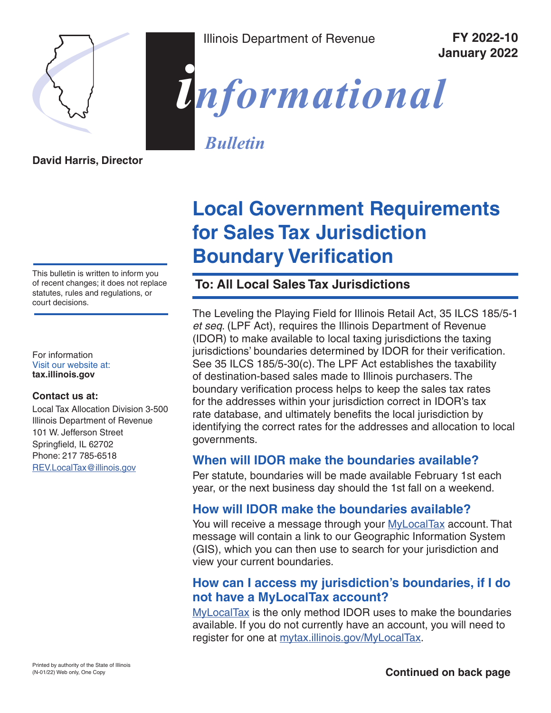

Illinois Department of Revenue **FY 2022-10**

**January 2022**



*Bulletin*

**David Harris, Director**

This bulletin is written to inform you of recent changes; it does not replace statutes, rules and regulations, or court decisions.

For information Visit our website at: **tax.illinois.gov**

#### **Contact us at:**

Local Tax Allocation Division 3-500 Illinois Department of Revenue 101 W. Jefferson Street Springfield, IL 62702 Phone: 217 785-6518 REV.LocalTax@illinois.gov

# **Local Government Requirements for Sales Tax Jurisdiction Boundary Verification**

### **To: All Local Sales Tax Jurisdictions**

The Leveling the Playing Field for Illinois Retail Act, 35 ILCS 185/5-1 *et seq*. (LPF Act), requires the Illinois Department of Revenue (IDOR) to make available to local taxing jurisdictions the taxing jurisdictions' boundaries determined by IDOR for their verification. See 35 ILCS 185/5-30(c). The LPF Act establishes the taxability of destination-based sales made to Illinois purchasers. The boundary verification process helps to keep the sales tax rates for the addresses within your jurisdiction correct in IDOR's tax rate database, and ultimately benefits the local jurisdiction by identifying the correct rates for the addresses and allocation to local governments.

#### **When will IDOR make the boundaries available?**

Per statute, boundaries will be made available February 1st each year, or the next business day should the 1st fall on a weekend.

#### **How will IDOR make the boundaries available?**

You will receive a message through your MyLocalTax account. That message will contain a link to our Geographic Information System (GIS), which you can then use to search for your jurisdiction and view your current boundaries.

#### **How can I access my jurisdiction's boundaries, if I do not have a MyLocalTax account?**

MyLocalTax is the only method IDOR uses to make the boundaries available. If you do not currently have an account, you will need to register for one at mytax.illinois.gov/MyLocalTax.